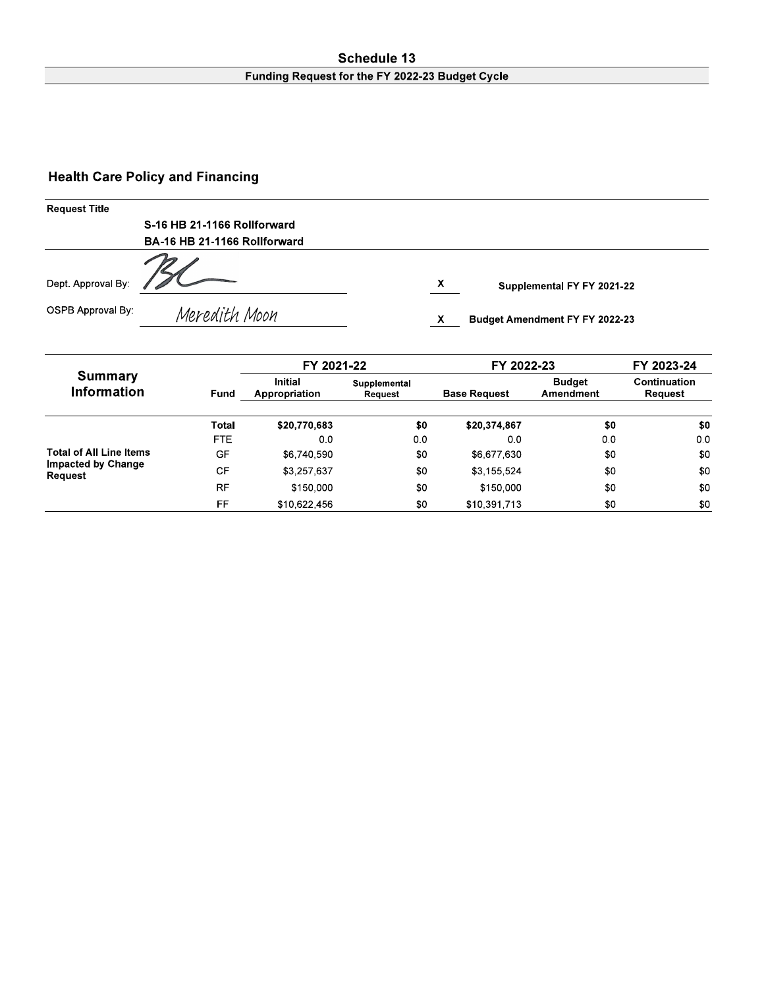#### Schedule 13 Funding Request for the FY 2022-23 Budget Cycle

# **Health Care Policy and Financing**

| <b>Request Title</b> |                              |                                       |  |  |  |
|----------------------|------------------------------|---------------------------------------|--|--|--|
|                      | S-16 HB 21-1166 Rollforward  |                                       |  |  |  |
|                      | BA-16 HB 21-1166 Rollforward |                                       |  |  |  |
| Dept. Approval By:   |                              | X<br>Supplemental FY FY 2021-22       |  |  |  |
| OSPB Approval By:    | Meredith Moon                | <b>Budget Amendment FY FY 2022-23</b> |  |  |  |

|                                      |            | FY 2021-22                      |                         | FY 2022-23          |                            | FY 2023-24              |
|--------------------------------------|------------|---------------------------------|-------------------------|---------------------|----------------------------|-------------------------|
| <b>Summary</b><br><b>Information</b> | Fund       | <b>Initial</b><br>Appropriation | Supplemental<br>Request | <b>Base Request</b> | <b>Budget</b><br>Amendment | Continuation<br>Request |
|                                      | Total      | \$20,770,683                    | \$0                     | \$20,374,867        | \$0                        | \$0                     |
|                                      | <b>FTE</b> | 0.0                             | 00                      | 0.0                 | 00                         | 0 <sub>0</sub>          |
| <b>Total of All Line Items</b>       | GF         | \$6,740,590                     | \$0                     | \$6,677,630         | \$0                        | \$0                     |
| <b>Impacted by Change</b><br>Request | <b>CF</b>  | \$3,257,637                     | \$0                     | \$3,155,524         | \$0                        | \$0                     |
|                                      | <b>RF</b>  | \$150,000                       | \$0                     | \$150,000           | \$0                        | \$0                     |
|                                      | FF         | \$10,622,456                    | \$0                     | \$10,391,713        | \$0                        | \$0                     |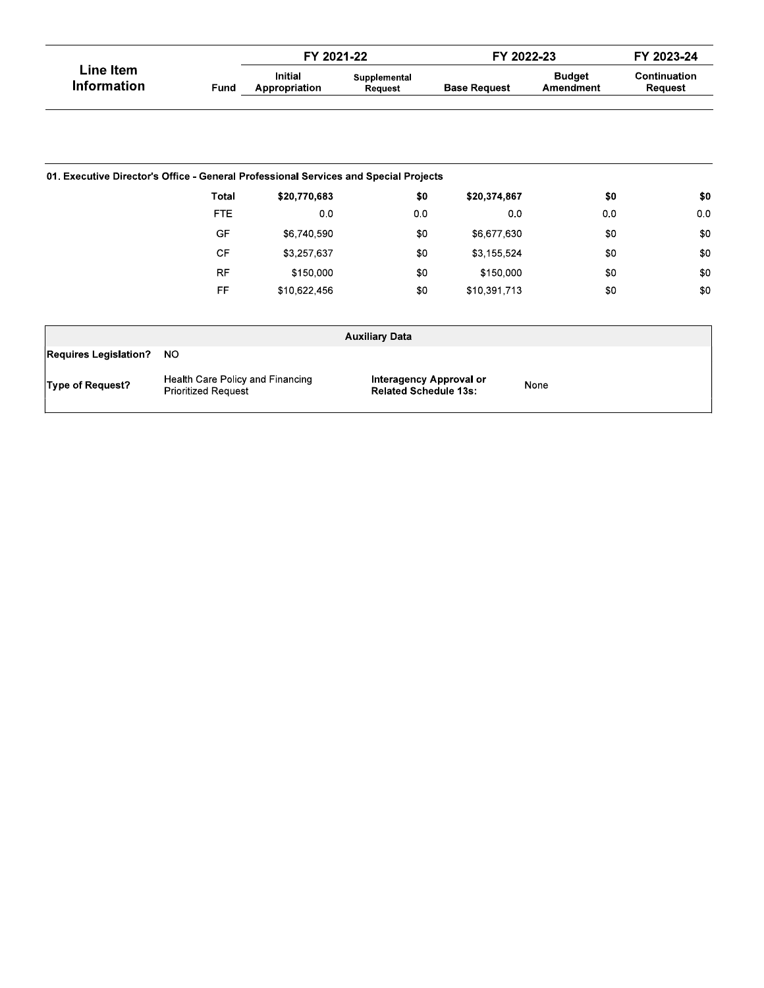|                                                                                      |                                                                | FY 2021-22                      |                         | FY 2022-23                                                             |                            | FY 2023-24              |
|--------------------------------------------------------------------------------------|----------------------------------------------------------------|---------------------------------|-------------------------|------------------------------------------------------------------------|----------------------------|-------------------------|
| <b>Line Item</b><br><b>Information</b>                                               | Fund                                                           | <b>Initial</b><br>Appropriation | Supplemental<br>Request | <b>Base Request</b>                                                    | <b>Budget</b><br>Amendment | Continuation<br>Request |
|                                                                                      |                                                                |                                 |                         |                                                                        |                            |                         |
| 01. Executive Director's Office - General Professional Services and Special Projects |                                                                |                                 |                         |                                                                        |                            |                         |
|                                                                                      | <b>Total</b>                                                   | \$20,770,683                    | \$0                     | \$20,374,867                                                           | \$0                        | \$0                     |
|                                                                                      | <b>FTE</b>                                                     | 0 <sub>0</sub>                  | 0 <sub>0</sub>          | 0.0                                                                    | 0.0                        | 0 <sub>0</sub>          |
|                                                                                      | GF                                                             | \$6,740,590                     | \$0                     | \$6,677,630                                                            | \$0                        | \$0                     |
|                                                                                      | <b>CF</b>                                                      | \$3,257,637                     | \$0                     | \$3,155,524                                                            | \$0                        | \$0                     |
|                                                                                      | <b>RF</b>                                                      | \$150,000                       | \$0                     | \$150,000                                                              | \$0                        | \$0                     |
|                                                                                      | FF                                                             | \$10,622,456                    | \$0                     | \$10,391,713                                                           | \$0                        | \$0                     |
|                                                                                      |                                                                |                                 | <b>Auxiliary Data</b>   |                                                                        |                            |                         |
| <b>Requires Legislation?</b>                                                         | <b>NO</b>                                                      |                                 |                         |                                                                        |                            |                         |
| Type of Request?                                                                     | Health Care Policy and Financing<br><b>Prioritized Request</b> |                                 |                         | <b>Interagency Approval or</b><br>None<br><b>Related Schedule 13s:</b> |                            |                         |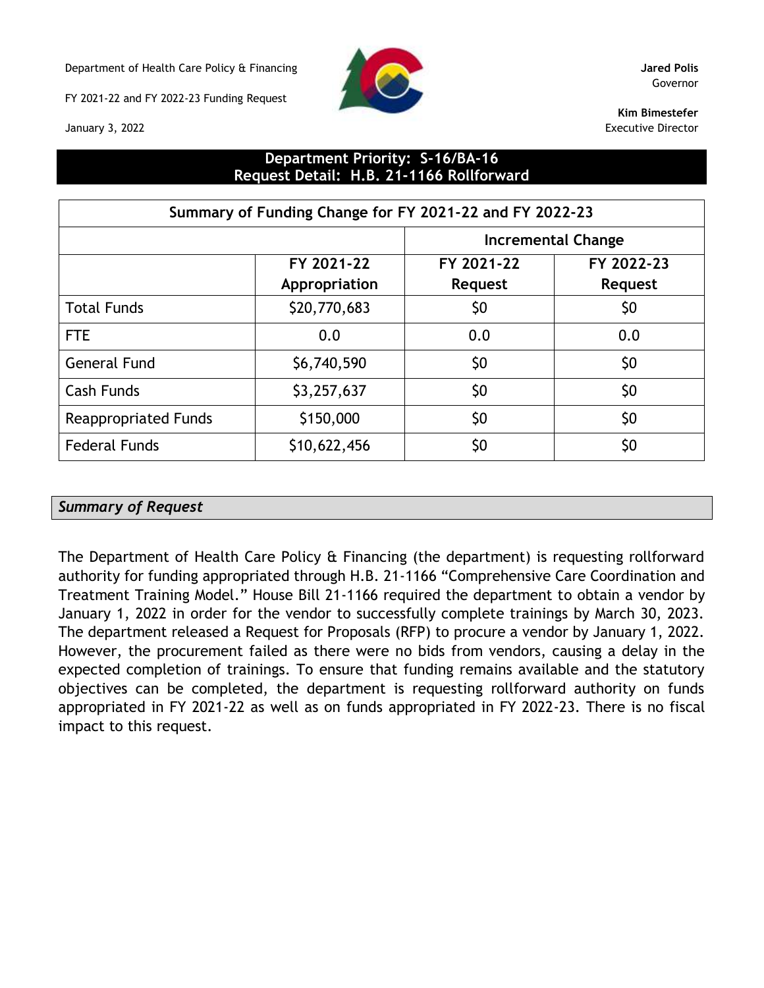Department of Health Care Policy & Financing **Jared Polis**

FY 2021-22 and FY 2022-23 Funding Request



Governor

**Kim Bimestefer** Executive Director

January 3, 2022

# **Department Priority: S-16/BA-16 Request Detail: H.B. 21-1166 Rollforward**

| Summary of Funding Change for FY 2021-22 and FY 2022-23 |               |                           |                |  |  |
|---------------------------------------------------------|---------------|---------------------------|----------------|--|--|
|                                                         |               | <b>Incremental Change</b> |                |  |  |
|                                                         | FY 2021-22    | FY 2021-22                | FY 2022-23     |  |  |
|                                                         | Appropriation | <b>Request</b>            | <b>Request</b> |  |  |
| <b>Total Funds</b>                                      | \$20,770,683  | \$0                       | \$0            |  |  |
| <b>FTE</b>                                              | 0.0           | 0.0                       | 0.0            |  |  |
| <b>General Fund</b>                                     | \$6,740,590   | \$0                       | \$0            |  |  |
| <b>Cash Funds</b>                                       | \$3,257,637   | \$0                       | \$0            |  |  |
| <b>Reappropriated Funds</b>                             | \$150,000     | \$0                       | \$0            |  |  |
| <b>Federal Funds</b>                                    | \$10,622,456  | \$0                       | \$0            |  |  |

### *Summary of Request*

The Department of Health Care Policy & Financing (the department) is requesting rollforward authority for funding appropriated through H.B. 21-1166 "Comprehensive Care Coordination and Treatment Training Model." House Bill 21-1166 required the department to obtain a vendor by January 1, 2022 in order for the vendor to successfully complete trainings by March 30, 2023. The department released a Request for Proposals (RFP) to procure a vendor by January 1, 2022. However, the procurement failed as there were no bids from vendors, causing a delay in the expected completion of trainings. To ensure that funding remains available and the statutory objectives can be completed, the department is requesting rollforward authority on funds appropriated in FY 2021-22 as well as on funds appropriated in FY 2022-23. There is no fiscal impact to this request.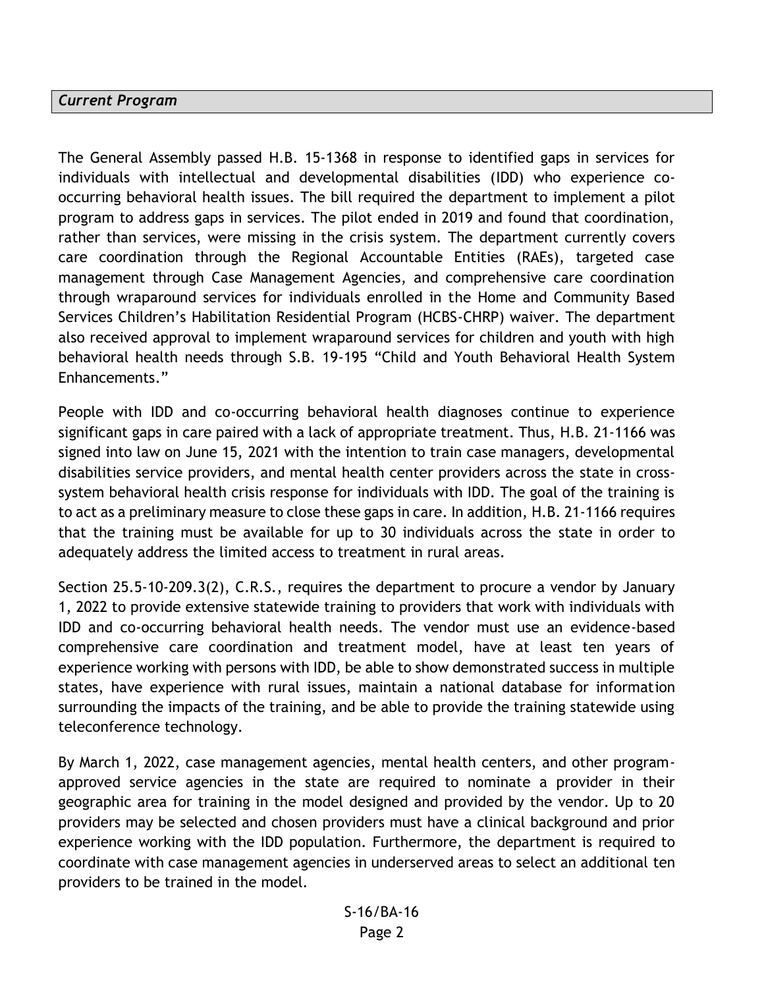#### *Current Program*

The General Assembly passed H.B. 15-1368 in response to identified gaps in services for individuals with intellectual and developmental disabilities (IDD) who experience cooccurring behavioral health issues. The bill required the department to implement a pilot program to address gaps in services. The pilot ended in 2019 and found that coordination, rather than services, were missing in the crisis system. The department currently covers care coordination through the Regional Accountable Entities (RAEs), targeted case management through Case Management Agencies, and comprehensive care coordination through wraparound services for individuals enrolled in the Home and Community Based Services Children's Habilitation Residential Program (HCBS-CHRP) waiver. The department also received approval to implement wraparound services for children and youth with high behavioral health needs through S.B. 19-195 "Child and Youth Behavioral Health System Enhancements."

People with IDD and co-occurring behavioral health diagnoses continue to experience significant gaps in care paired with a lack of appropriate treatment. Thus, H.B. 21-1166 was signed into law on June 15, 2021 with the intention to train case managers, developmental disabilities service providers, and mental health center providers across the state in crosssystem behavioral health crisis response for individuals with IDD. The goal of the training is to act as a preliminary measure to close these gaps in care. In addition, H.B. 21-1166 requires that the training must be available for up to 30 individuals across the state in order to adequately address the limited access to treatment in rural areas.

Section 25.5-10-209.3(2), C.R.S., requires the department to procure a vendor by January 1, 2022 to provide extensive statewide training to providers that work with individuals with IDD and co-occurring behavioral health needs. The vendor must use an evidence-based comprehensive care coordination and treatment model, have at least ten years of experience working with persons with IDD, be able to show demonstrated success in multiple states, have experience with rural issues, maintain a national database for information surrounding the impacts of the training, and be able to provide the training statewide using teleconference technology.

By March 1, 2022, case management agencies, mental health centers, and other programapproved service agencies in the state are required to nominate a provider in their geographic area for training in the model designed and provided by the vendor. Up to 20 providers may be selected and chosen providers must have a clinical background and prior experience working with the IDD population. Furthermore, the department is required to coordinate with case management agencies in underserved areas to select an additional ten providers to be trained in the model.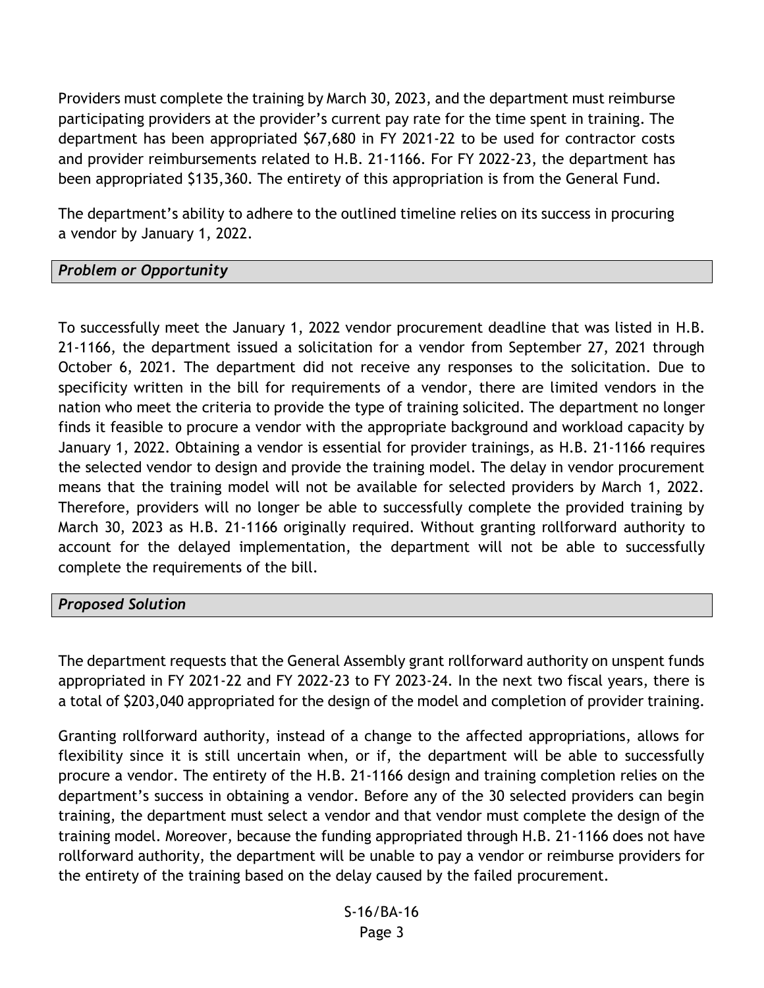Providers must complete the training by March 30, 2023, and the department must reimburse participating providers at the provider's current pay rate for the time spent in training. The department has been appropriated \$67,680 in FY 2021-22 to be used for contractor costs and provider reimbursements related to H.B. 21-1166. For FY 2022-23, the department has been appropriated \$135,360. The entirety of this appropriation is from the General Fund.

The department's ability to adhere to the outlined timeline relies on its success in procuring a vendor by January 1, 2022.

# *Problem or Opportunity*

To successfully meet the January 1, 2022 vendor procurement deadline that was listed in H.B. 21-1166, the department issued a solicitation for a vendor from September 27, 2021 through October 6, 2021. The department did not receive any responses to the solicitation. Due to specificity written in the bill for requirements of a vendor, there are limited vendors in the nation who meet the criteria to provide the type of training solicited. The department no longer finds it feasible to procure a vendor with the appropriate background and workload capacity by January 1, 2022. Obtaining a vendor is essential for provider trainings, as H.B. 21-1166 requires the selected vendor to design and provide the training model. The delay in vendor procurement means that the training model will not be available for selected providers by March 1, 2022. Therefore, providers will no longer be able to successfully complete the provided training by March 30, 2023 as H.B. 21-1166 originally required. Without granting rollforward authority to account for the delayed implementation, the department will not be able to successfully complete the requirements of the bill.

### *Proposed Solution*

The department requests that the General Assembly grant rollforward authority on unspent funds appropriated in FY 2021-22 and FY 2022-23 to FY 2023-24. In the next two fiscal years, there is a total of \$203,040 appropriated for the design of the model and completion of provider training.

Granting rollforward authority, instead of a change to the affected appropriations, allows for flexibility since it is still uncertain when, or if, the department will be able to successfully procure a vendor. The entirety of the H.B. 21-1166 design and training completion relies on the department's success in obtaining a vendor. Before any of the 30 selected providers can begin training, the department must select a vendor and that vendor must complete the design of the training model. Moreover, because the funding appropriated through H.B. 21-1166 does not have rollforward authority, the department will be unable to pay a vendor or reimburse providers for the entirety of the training based on the delay caused by the failed procurement.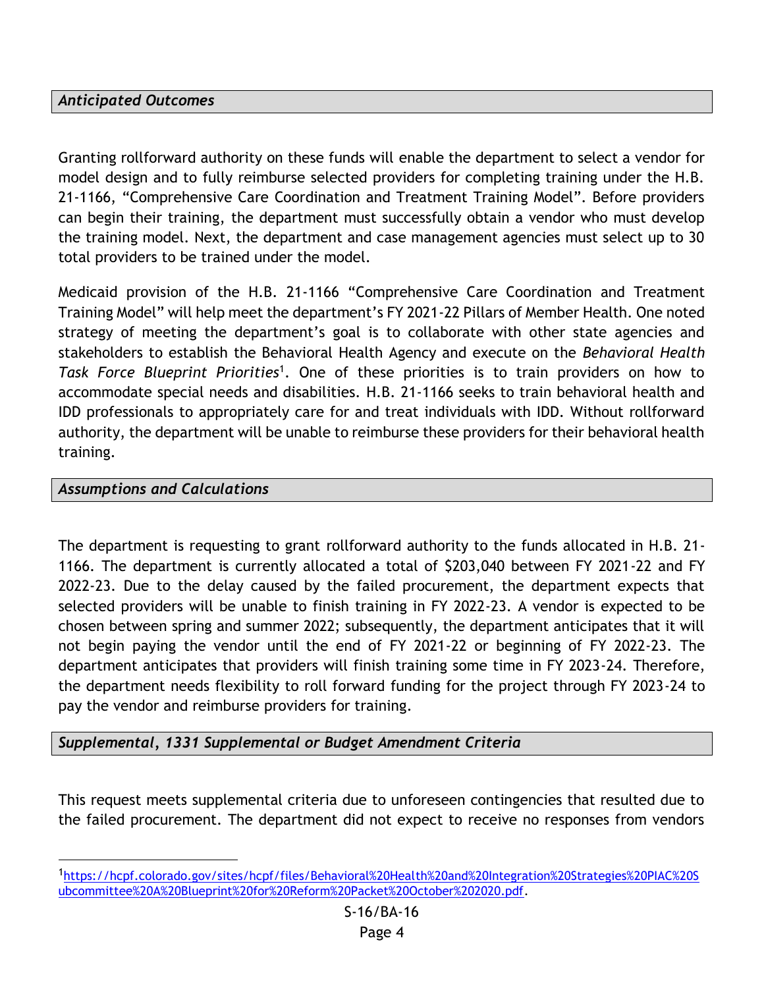# *Anticipated Outcomes*

Granting rollforward authority on these funds will enable the department to select a vendor for model design and to fully reimburse selected providers for completing training under the H.B. 21-1166, "Comprehensive Care Coordination and Treatment Training Model". Before providers can begin their training, the department must successfully obtain a vendor who must develop the training model. Next, the department and case management agencies must select up to 30 total providers to be trained under the model.

Medicaid provision of the H.B. 21-1166 "Comprehensive Care Coordination and Treatment Training Model" will help meet the department's FY 2021-22 Pillars of Member Health. One noted strategy of meeting the department's goal is to collaborate with other state agencies and stakeholders to establish the Behavioral Health Agency and execute on the *Behavioral Health*  Task Force Blueprint Priorities<sup>1</sup>. One of these priorities is to train providers on how to accommodate special needs and disabilities. H.B. 21-1166 seeks to train behavioral health and IDD professionals to appropriately care for and treat individuals with IDD. Without rollforward authority, the department will be unable to reimburse these providers for their behavioral health training.

# *Assumptions and Calculations*

The department is requesting to grant rollforward authority to the funds allocated in H.B. 21- 1166. The department is currently allocated a total of \$203,040 between FY 2021-22 and FY 2022-23. Due to the delay caused by the failed procurement, the department expects that selected providers will be unable to finish training in FY 2022-23. A vendor is expected to be chosen between spring and summer 2022; subsequently, the department anticipates that it will not begin paying the vendor until the end of FY 2021-22 or beginning of FY 2022-23. The department anticipates that providers will finish training some time in FY 2023-24. Therefore, the department needs flexibility to roll forward funding for the project through FY 2023-24 to pay the vendor and reimburse providers for training.

# *Supplemental, 1331 Supplemental or Budget Amendment Criteria*

This request meets supplemental criteria due to unforeseen contingencies that resulted due to the failed procurement. The department did not expect to receive no responses from vendors

<sup>1</sup>[https://hcpf.colorado.gov/sites/hcpf/files/Behavioral%20Health%20and%20Integration%20Strategies%20PIAC%20S](https://hcpf.colorado.gov/sites/hcpf/files/Behavioral%20Health%20and%20Integration%20Strategies%20PIAC%20Subcommittee%20A%20Blueprint%20for%20Reform%20Packet%20October%202020.pdf) [ubcommittee%20A%20Blueprint%20for%20Reform%20Packet%20October%202020.pdf.](https://hcpf.colorado.gov/sites/hcpf/files/Behavioral%20Health%20and%20Integration%20Strategies%20PIAC%20Subcommittee%20A%20Blueprint%20for%20Reform%20Packet%20October%202020.pdf)